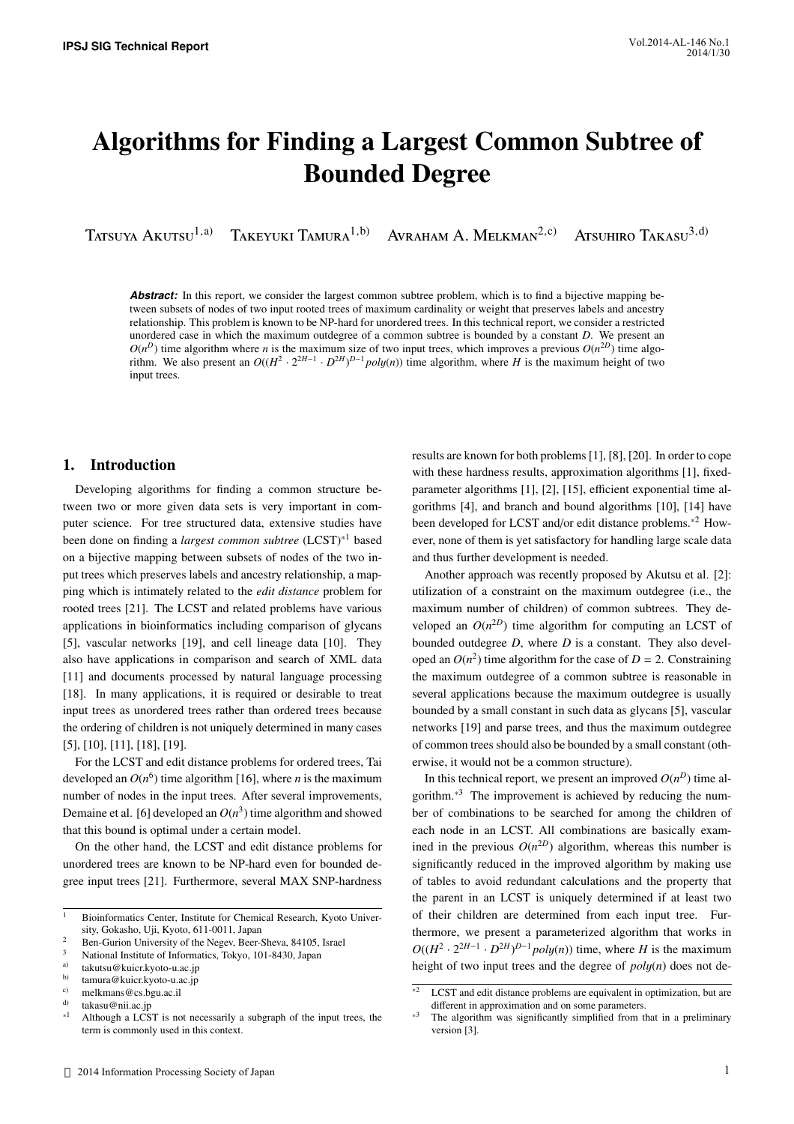# Algorithms for Finding a Largest Common Subtree of Bounded Degree

Tatsuya Akutsu<sup>1,a)</sup> Takeyuki Tamura<sup>1,b)</sup> Avraham A. Melkman<sup>2,c)</sup> Atsuhiro Takasu<sup>3,d)</sup>

**Abstract:** In this report, we consider the largest common subtree problem, which is to find a bijective mapping between subsets of nodes of two input rooted trees of maximum cardinality or weight that preserves labels and ancestry relationship. This problem is known to be NP-hard for unordered trees. In this technical report, we consider a restricted unordered case in which the maximum outdegree of a common subtree is bounded by a constant *D*. We present an  $O(n^D)$  time algorithm where *n* is the maximum size of two input trees, which improves a previous  $O(n^{2D})$  time algorithm. We also present an  $O((H^2 \cdot 2^{2H-1} \cdot D^{2H})^{D-1} poly(n))$  time algorithm, where *H* is the maximum height of two input trees.

# 1. Introduction

Developing algorithms for finding a common structure between two or more given data sets is very important in computer science. For tree structured data, extensive studies have been done on finding a *largest common subtree* (LCST)\*1 based on a bijective mapping between subsets of nodes of the two input trees which preserves labels and ancestry relationship, a mapping which is intimately related to the *edit distance* problem for rooted trees [21]. The LCST and related problems have various applications in bioinformatics including comparison of glycans [5], vascular networks [19], and cell lineage data [10]. They also have applications in comparison and search of XML data [11] and documents processed by natural language processing [18]. In many applications, it is required or desirable to treat input trees as unordered trees rather than ordered trees because the ordering of children is not uniquely determined in many cases [5], [10], [11], [18], [19].

For the LCST and edit distance problems for ordered trees, Tai developed an  $O(n^6)$  time algorithm [16], where *n* is the maximum number of nodes in the input trees. After several improvements, Demaine et al. [6] developed an  $O(n^3)$  time algorithm and showed that this bound is optimal under a certain model.

On the other hand, the LCST and edit distance problems for unordered trees are known to be NP-hard even for bounded degree input trees [21]. Furthermore, several MAX SNP-hardness

results are known for both problems [1], [8], [20]. In order to cope with these hardness results, approximation algorithms [1], fixedparameter algorithms [1], [2], [15], efficient exponential time algorithms [4], and branch and bound algorithms [10], [14] have been developed for LCST and/or edit distance problems.\*2 However, none of them is yet satisfactory for handling large scale data and thus further development is needed.

Another approach was recently proposed by Akutsu et al. [2]: utilization of a constraint on the maximum outdegree (i.e., the maximum number of children) of common subtrees. They developed an  $O(n^{2D})$  time algorithm for computing an LCST of bounded outdegree *D*, where *D* is a constant. They also developed an  $O(n^2)$  time algorithm for the case of  $D = 2$ . Constraining the maximum outdegree of a common subtree is reasonable in several applications because the maximum outdegree is usually bounded by a small constant in such data as glycans [5], vascular networks [19] and parse trees, and thus the maximum outdegree of common trees should also be bounded by a small constant (otherwise, it would not be a common structure).

In this technical report, we present an improved  $O(n^D)$  time algorithm.\*3 The improvement is achieved by reducing the number of combinations to be searched for among the children of each node in an LCST. All combinations are basically examined in the previous  $O(n^{2D})$  algorithm, whereas this number is significantly reduced in the improved algorithm by making use of tables to avoid redundant calculations and the property that the parent in an LCST is uniquely determined if at least two of their children are determined from each input tree. Furthermore, we present a parameterized algorithm that works in  $O((H^2 \cdot 2^{2H-1} \cdot D^{2H})^{D-1}$  *poly(n)*) time, where *H* is the maximum height of two input trees and the degree of *pol*y(*n*) does not de-

<sup>&</sup>lt;sup>1</sup> Bioinformatics Center, Institute for Chemical Research, Kyoto University, Gokasho, Uji, Kyoto, 611-0011, Japan

<sup>&</sup>lt;sup>2</sup> Ben-Gurion University of the Negev, Beer-Sheva, 84105, Israel

<sup>&</sup>lt;sup>3</sup> National Institute of Informatics, Tokyo, 101-8430, Japan<br><sup>a)</sup> takutan@kujer kyoto u ac in

<sup>&</sup>lt;sup>a)</sup> takutsu@kuicr.kyoto-u.ac.jp<br>b) tomura@kuicr.kyoto-u.ac.jp

b) tamura@kuicr.kyoto-u.ac.jp

<sup>&</sup>lt;sup>c)</sup> melkmans@cs.bgu.ac.il<br> $\frac{d}{dx}$  tokeen@nii.es.in

<sup>&</sup>lt;sup>d)</sup> takasu@nii.ac.jp<br>\*<sup>1</sup> Although a LCS

Although a LCST is not necessarily a subgraph of the input trees, the term is commonly used in this context.

 $*\overline{2}$  LCST and edit distance problems are equivalent in optimization, but are different in approximation and on some parameters.

The algorithm was significantly simplified from that in a preliminary version [3].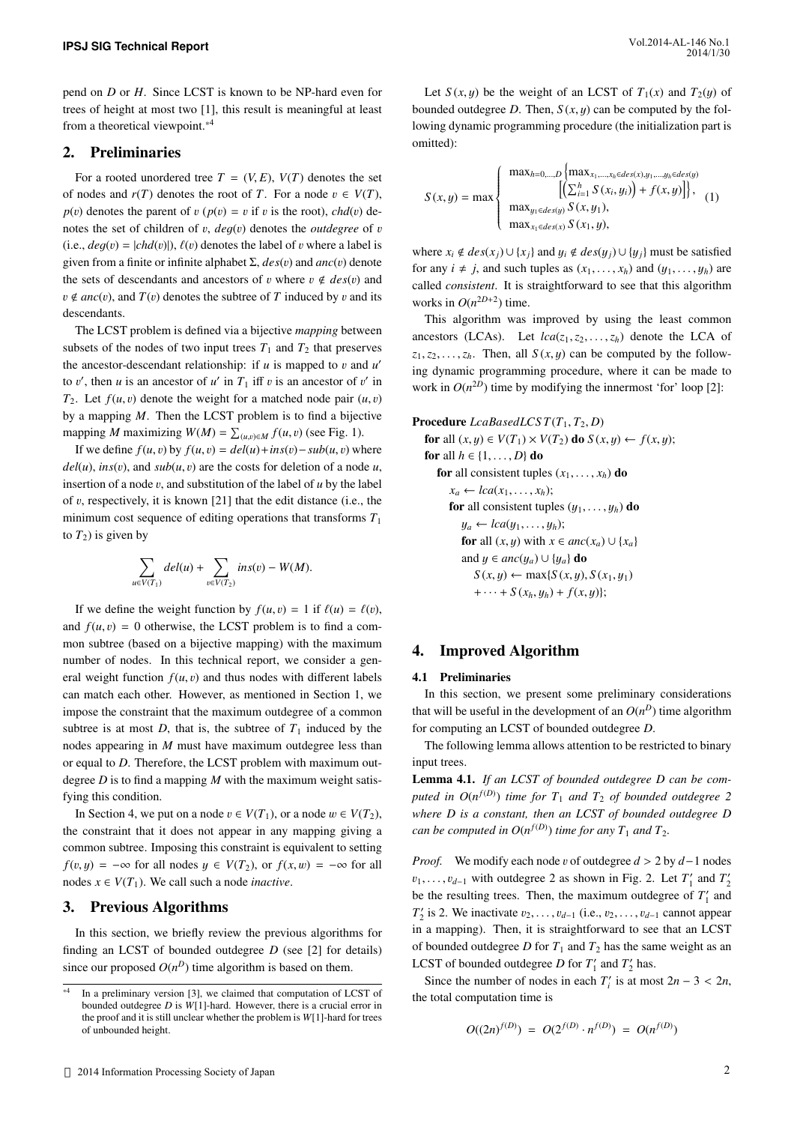pend on *D* or *H*. Since LCST is known to be NP-hard even for trees of height at most two [1], this result is meaningful at least from a theoretical viewpoint.\*4

## 2. Preliminaries

For a rooted unordered tree  $T = (V, E), V(T)$  denotes the set of nodes and  $r(T)$  denotes the root of *T*. For a node  $v \in V(T)$ ,  $p(v)$  denotes the parent of  $v (p(v) = v$  if  $v$  is the root), *chd*(v) denotes the set of children of v, *de*g(v) denotes the *outdegree* of v (i.e.,  $deg(v) = |chd(v)|$ ),  $\ell(v)$  denotes the label of v where a label is given from a finite or infinite alphabet Σ, *des*(v) and *anc*(v) denote the sets of descendants and ancestors of v where  $v \notin des(v)$  and  $v \notin anc(v)$ , and  $T(v)$  denotes the subtree of T induced by v and its descendants.

The LCST problem is defined via a bijective *mapping* between subsets of the nodes of two input trees  $T_1$  and  $T_2$  that preserves the ancestor-descendant relationship: if  $u$  is mapped to  $v$  and  $u'$ to v', then u is an ancestor of u' in  $T_1$  iff v is an ancestor of v' in  $T_2$ . Let  $f(u, v)$  denote the weight for a matched node pair  $(u, v)$ by a mapping *M*. Then the LCST problem is to find a bijective mapping *M* maximizing  $W(M) = \sum_{(u,v)\in M} f(u,v)$  (see Fig. 1).

If we define  $f(u, v)$  by  $f(u, v) = \frac{del(u) + \text{ins}(v) - \text{sub}(u, v)}{v}$  where  $del(u)$ ,  $ins(v)$ , and  $sub(u, v)$  are the costs for deletion of a node *u*, insertion of a node  $v$ , and substitution of the label of  $u$  by the label of v, respectively, it is known [21] that the edit distance (i.e., the minimum cost sequence of editing operations that transforms *T*<sup>1</sup> to  $T_2$ ) is given by

$$
\sum_{u \in V(T_1)} del(u) + \sum_{v \in V(T_2)} ins(v) - W(M).
$$

If we define the weight function by  $f(u, v) = 1$  if  $\ell(u) = \ell(v)$ , and  $f(u, v) = 0$  otherwise, the LCST problem is to find a common subtree (based on a bijective mapping) with the maximum number of nodes. In this technical report, we consider a general weight function  $f(u, v)$  and thus nodes with different labels can match each other. However, as mentioned in Section 1, we impose the constraint that the maximum outdegree of a common subtree is at most  $D$ , that is, the subtree of  $T_1$  induced by the nodes appearing in *M* must have maximum outdegree less than or equal to *D*. Therefore, the LCST problem with maximum outdegree *D* is to find a mapping *M* with the maximum weight satisfying this condition.

In Section 4, we put on a node  $v \in V(T_1)$ , or a node  $w \in V(T_2)$ , the constraint that it does not appear in any mapping giving a common subtree. Imposing this constraint is equivalent to setting *f*(*v*, *y*) = −∞ for all nodes  $y \in V(T_2)$ , or  $f(x, w) = -\infty$  for all nodes  $x \in V(T_1)$ . We call such a node *inactive*.

## 3. Previous Algorithms

In this section, we briefly review the previous algorithms for finding an LCST of bounded outdegree *D* (see [2] for details) since our proposed  $O(n^D)$  time algorithm is based on them.

Let  $S(x, y)$  be the weight of an LCST of  $T_1(x)$  and  $T_2(y)$  of bounded outdegree *D*. Then,  $S(x, y)$  can be computed by the following dynamic programming procedure (the initialization part is omitted):

$$
S(x, y) = \max \begin{cases} \max_{h=0,\dots,D} \left\{ \max_{x_1,\dots,x_h \in des(x),y_1,\dots,y_h \in des(y)} \left[ \left( \sum_{i=1}^h S(x_i, y_i) \right) + f(x, y) \right] \right\}, \\ \max_{y_1 \in des(y)} S(x, y_1), \\ \max_{x_1 \in des(x)} S(x_1, y), \end{cases} (1)
$$

where  $x_i \notin des(x_i) \cup \{x_i\}$  and  $y_i \notin des(y_i) \cup \{y_i\}$  must be satisfied for any  $i \neq j$ , and such tuples as  $(x_1, \ldots, x_h)$  and  $(y_1, \ldots, y_h)$  are called *consistent*. It is straightforward to see that this algorithm works in  $O(n^{2D+2})$  time.

This algorithm was improved by using the least common ancestors (LCAs). Let  $lca(z_1, z_2, \ldots, z_h)$  denote the LCA of  $z_1, z_2, \ldots, z_h$ . Then, all  $S(x, y)$  can be computed by the following dynamic programming procedure, where it can be made to work in  $O(n^{2D})$  time by modifying the innermost 'for' loop [2]:

### Procedure  $LeabasedLCS T(T_1, T_2, D)$

for all  $(x, y) \in V(T_1) \times V(T_2)$  do  $S(x, y) \leftarrow f(x, y)$ ; for all  $h \in \{1, \ldots, D\}$  do for all consistent tuples  $(x_1, \ldots, x_h)$  do  $x_a \leftarrow \text{lca}(x_1, \ldots, x_h);$ for all consistent tuples  $(y_1, \ldots, y_h)$  do  $y_a \leftarrow lca(y_1, \ldots, y_h);$ for all  $(x, y)$  with  $x \in anc(x_a) \cup \{x_a\}$ and *y* ∈ *anc*( $y_a$ ) ∪ { $y_a$ } **do**  $S(x, y) \leftarrow \max\{S(x, y), S(x_1, y_1)\}$  $+ \cdots + S(x_h, y_h) + f(x, y)$ ;

# 4. Improved Algorithm

## 4.1 Preliminaries

In this section, we present some preliminary considerations that will be useful in the development of an  $O(n^D)$  time algorithm for computing an LCST of bounded outdegree *D*.

The following lemma allows attention to be restricted to binary input trees.

Lemma 4.1. *If an LCST of bounded outdegree D can be computed in*  $O(n^{f(D)})$  *time for*  $T_1$  *and*  $T_2$  *of bounded outdegree* 2 *where D is a constant, then an LCST of bounded outdegree D can be computed in*  $O(n^{f(D)})$  *time for any*  $T_1$  *and*  $T_2$ *.* 

*Proof.* We modify each node v of outdegree  $d > 2$  by  $d-1$  nodes  $v_1, \ldots, v_{d-1}$  with outdegree 2 as shown in Fig. 2. Let  $T'_1$  and  $T'_2$ be the resulting trees. Then, the maximum outdegree of  $T_1'$  and  $T'_2$  is 2. We inactivate  $v_2, \ldots, v_{d-1}$  (i.e.,  $v_2, \ldots, v_{d-1}$  cannot appear in a mapping). Then, it is straightforward to see that an LCST of bounded outdegree *D* for  $T_1$  and  $T_2$  has the same weight as an LCST of bounded outdegree *D* for  $T'_1$  and  $T'_2$  has.

Since the number of nodes in each  $T_i'$  is at most  $2n - 3 < 2n$ , the total computation time is

$$
O((2n)^{f(D)}) = O(2^{f(D)} \cdot n^{f(D)}) = O(n^{f(D)})
$$

 $\overline{4}$ In a preliminary version [3], we claimed that computation of LCST of bounded outdegree *D* is *W*[1]-hard. However, there is a crucial error in the proof and it is still unclear whether the problem is *W*[1]-hard for trees of unbounded height.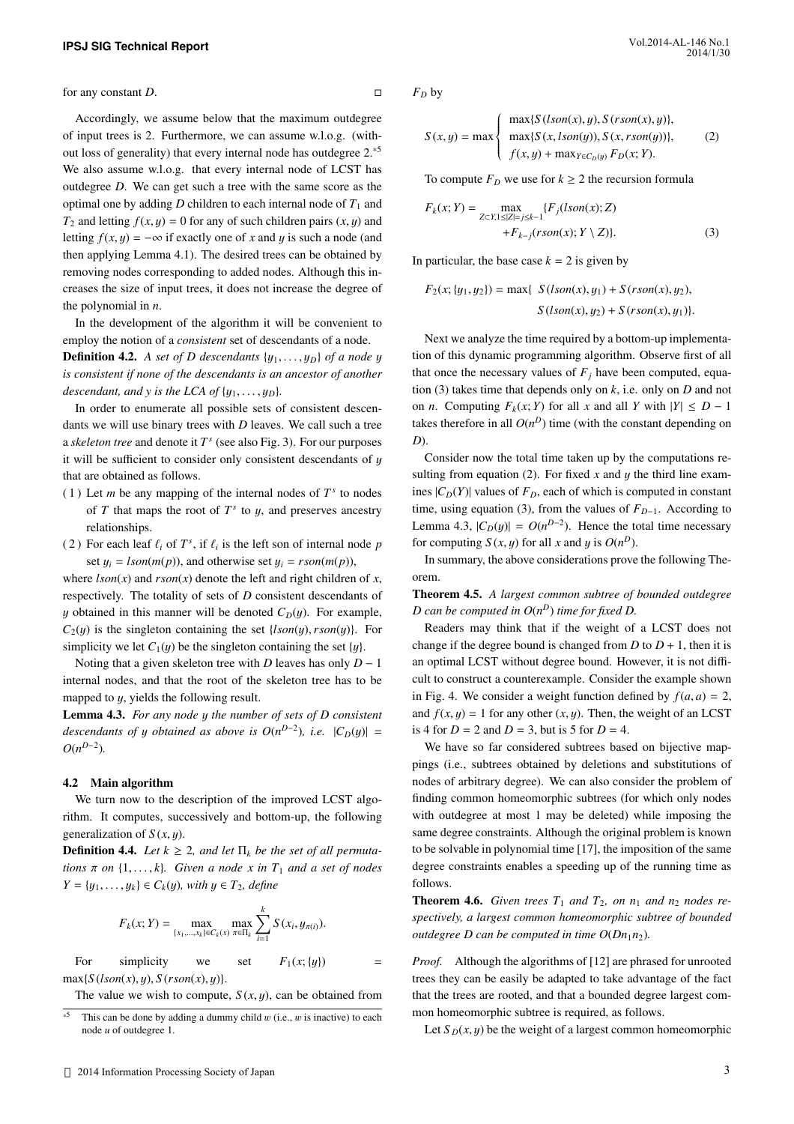for any constant *D*.

Accordingly, we assume below that the maximum outdegree of input trees is 2. Furthermore, we can assume w.l.o.g. (without loss of generality) that every internal node has outdegree 2.\*5 We also assume w.l.o.g. that every internal node of LCST has outdegree *D*. We can get such a tree with the same score as the optimal one by adding  $D$  children to each internal node of  $T_1$  and  $T_2$  and letting  $f(x, y) = 0$  for any of such children pairs  $(x, y)$  and letting  $f(x, y) = -\infty$  if exactly one of *x* and *y* is such a node (and then applying Lemma 4.1). The desired trees can be obtained by removing nodes corresponding to added nodes. Although this increases the size of input trees, it does not increase the degree of the polynomial in *n*.

In the development of the algorithm it will be convenient to employ the notion of a *consistent* set of descendants of a node.

**Definition 4.2.** *A set of D descendants*  $\{y_1, \ldots, y_D\}$  *of a node y is consistent if none of the descendants is an ancestor of another descendant, and y is the LCA of*  $\{y_1, \ldots, y_D\}$ *.* 

In order to enumerate all possible sets of consistent descendants we will use binary trees with *D* leaves. We call such a tree a *skeleton tree* and denote it *T s* (see also Fig. 3). For our purposes it will be sufficient to consider only consistent descendants of  $y$ that are obtained as follows.

- (1) Let *m* be any mapping of the internal nodes of  $T^s$  to nodes of  $T$  that maps the root of  $T^s$  to  $y$ , and preserves ancestry relationships.
- (2) For each leaf  $\ell_i$  of  $T^s$ , if  $\ell_i$  is the left son of internal node *p* set  $y_i = lson(m(p))$ , and otherwise set  $y_i = rson(m(p))$ ,

where  $lson(x)$  and  $rson(x)$  denote the left and right children of *x*, respectively. The totality of sets of *D* consistent descendants of y obtained in this manner will be denoted  $C_D(y)$ . For example,  $C_2(y)$  is the singleton containing the set  $\{lson(y), rson(y)\}$ . For simplicity we let  $C_1(y)$  be the singleton containing the set  $\{y\}$ .

Noting that a given skeleton tree with *D* leaves has only *D* − 1 internal nodes, and that the root of the skeleton tree has to be mapped to y, yields the following result.

Lemma 4.3. *For any node* y *the number of sets of D consistent descendants of y obtained as above is*  $O(n^{D-2})$ *, i.e.*  $|C_D(y)| =$  $O(n^{D-2})$ .

#### 4.2 Main algorithm

We turn now to the description of the improved LCST algorithm. It computes, successively and bottom-up, the following generalization of  $S(x, y)$ .

**Definition 4.4.** *Let*  $k \geq 2$ *, and let*  $\Pi_k$  *be the set of all permutations*  $\pi$  *on*  $\{1, \ldots, k\}$ *. Given a node x in*  $T_1$  *and a set of nodes Y* = { $y_1$ ,..., $y_k$ } ∈  $C_k(y)$ , with  $y$  ∈  $T_2$ , define

$$
F_k(x; Y) = \max_{\{x_1, \dots, x_k\} \in C_k(x)} \max_{\pi \in \Pi_k} \sum_{i=1}^k S(x_i, y_{\pi(i)}).
$$

For simplicity we set  $F_1(x; \{y\})$  =  $max{S (lson(x), y), S (rson(x), y)}.$ 

The value we wish to compute,  $S(x, y)$ , can be obtained from

*F<sup>D</sup>* by

$$
S(x, y) = \max \begin{cases} \max\{S(Ison(x), y), S( rson(x), y) \}, \\ \max\{S(x, Ison(y)), S(x, rson(y)) \}, \\ f(x, y) + \max_{Y \in C_D(y)} F_D(x; Y). \end{cases}
$$
 (2)

To compute  $F_D$  we use for  $k \geq 2$  the recursion formula

$$
F_k(x; Y) = \max_{Z \subset X, 1 \le |Z| = j \le k-1} \{ F_j(Ison(x); Z) + F_{k-j}(rson(x); Y \setminus Z) \}.
$$
 (3)

In particular, the base case  $k = 2$  is given by

$$
F_2(x; \{y_1, y_2\}) = \max\{ S(lson(x), y_1) + S(rson(x), y_2),
$$
  

$$
S(lson(x), y_2) + S(rson(x), y_1)\}.
$$

Next we analyze the time required by a bottom-up implementation of this dynamic programming algorithm. Observe first of all that once the necessary values of  $F_j$  have been computed, equation (3) takes time that depends only on *k*, i.e. only on *D* and not on *n*. Computing  $F_k(x; Y)$  for all *x* and all *Y* with  $|Y| \le D - 1$ takes therefore in all  $O(n^D)$  time (with the constant depending on *D*).

Consider now the total time taken up by the computations resulting from equation (2). For fixed  $x$  and  $y$  the third line examines  $|C_D(Y)|$  values of  $F_D$ , each of which is computed in constant time, using equation (3), from the values of  $F_{D-1}$ . According to Lemma 4.3,  $|C_D(y)| = O(n^{D-2})$ . Hence the total time necessary for computing  $S(x, y)$  for all *x* and *y* is  $O(n^D)$ .

In summary, the above considerations prove the following Theorem.

Theorem 4.5. *A largest common subtree of bounded outdegree D can be computed in O*(*n <sup>D</sup>*) *time for fixed D.*

Readers may think that if the weight of a LCST does not change if the degree bound is changed from  $D$  to  $D + 1$ , then it is an optimal LCST without degree bound. However, it is not difficult to construct a counterexample. Consider the example shown in Fig. 4. We consider a weight function defined by  $f(a, a) = 2$ , and  $f(x, y) = 1$  for any other  $(x, y)$ . Then, the weight of an LCST is 4 for  $D = 2$  and  $D = 3$ , but is 5 for  $D = 4$ .

We have so far considered subtrees based on bijective mappings (i.e., subtrees obtained by deletions and substitutions of nodes of arbitrary degree). We can also consider the problem of finding common homeomorphic subtrees (for which only nodes with outdegree at most 1 may be deleted) while imposing the same degree constraints. Although the original problem is known to be solvable in polynomial time [17], the imposition of the same degree constraints enables a speeding up of the running time as follows.

**Theorem 4.6.** Given trees  $T_1$  and  $T_2$ , on  $n_1$  and  $n_2$  nodes re*spectively, a largest common homeomorphic subtree of bounded outdegree D can be computed in time*  $O(Dn_1n_2)$ *.* 

*Proof.* Although the algorithms of [12] are phrased for unrooted trees they can be easily be adapted to take advantage of the fact that the trees are rooted, and that a bounded degree largest common homeomorphic subtree is required, as follows.

Let  $S_D(x, y)$  be the weight of a largest common homeomorphic

This can be done by adding a dummy child  $w$  (i.e.,  $w$  is inactive) to each node *u* of outdegree 1.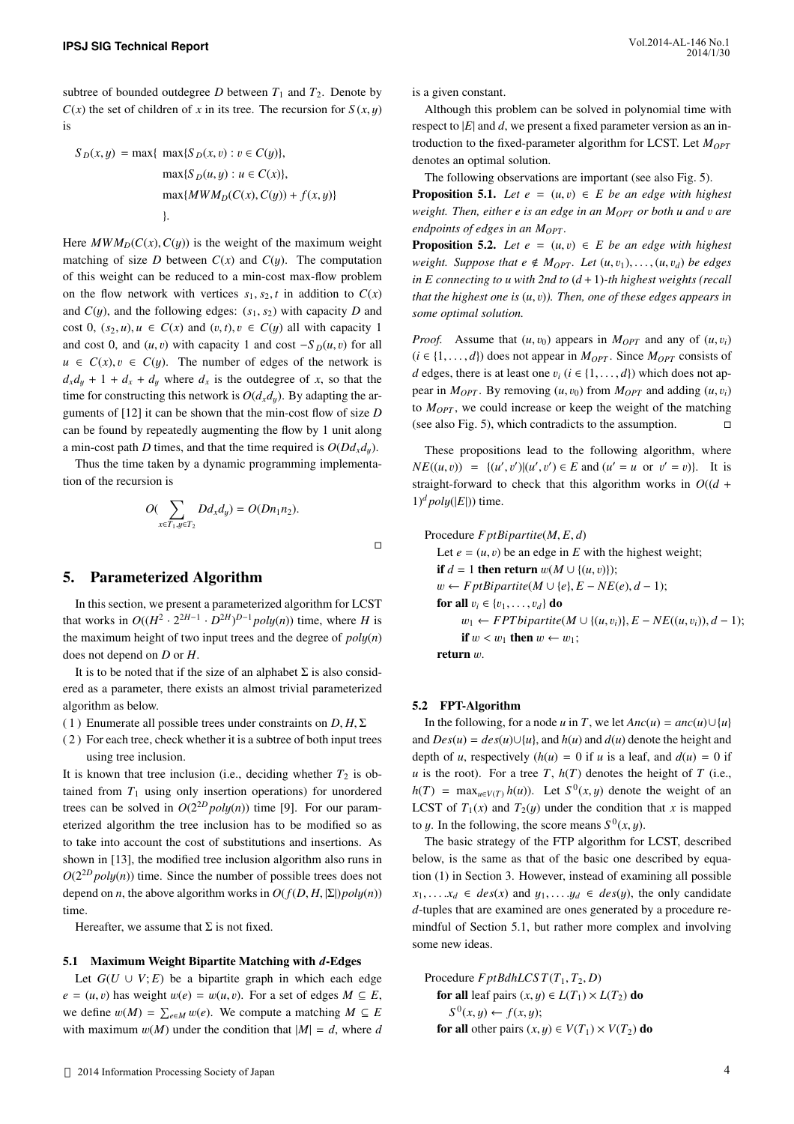subtree of bounded outdegree *D* between  $T_1$  and  $T_2$ . Denote by  $C(x)$  the set of children of *x* in its tree. The recursion for  $S(x, y)$ is

$$
S_D(x,y) = \max\{\max\{S_D(x,v) : v \in C(y)\},\
$$

$$
\max\{S_D(u,y) : u \in C(x)\},\
$$

$$
\max\{MWM_D(C(x), C(y)) + f(x,y)\}
$$

$$
\}.
$$

Here  $MWM_D(C(x), C(y))$  is the weight of the maximum weight matching of size *D* between  $C(x)$  and  $C(y)$ . The computation of this weight can be reduced to a min-cost max-flow problem on the flow network with vertices  $s_1, s_2, t$  in addition to  $C(x)$ and  $C(y)$ , and the following edges:  $(s_1, s_2)$  with capacity *D* and cost 0,  $(s_2, u)$ ,  $u \in C(x)$  and  $(v, t)$ ,  $v \in C(y)$  all with capacity 1 and cost 0, and  $(u, v)$  with capacity 1 and cost  $-S_D(u, v)$  for all  $u \in C(x), v \in C(y)$ . The number of edges of the network is  $d_x d_y + 1 + d_x + d_y$  where  $d_x$  is the outdegree of *x*, so that the time for constructing this network is  $O(d_x d_y)$ . By adapting the arguments of [12] it can be shown that the min-cost flow of size *D* can be found by repeatedly augmenting the flow by 1 unit along a min-cost path *D* times, and that the time required is  $O(Dd_x d_y)$ .

Thus the time taken by a dynamic programming implementation of the recursion is

$$
O(\sum_{x \in T_1, y \in T_2} Dd_x d_y) = O(Dn_1 n_2).
$$

## 5. Parameterized Algorithm

In this section, we present a parameterized algorithm for LCST that works in  $O((H^2 \cdot 2^{2H-1} \cdot D^{2H})^{D-1}$  *poly(n)*) time, where *H* is the maximum height of two input trees and the degree of *pol*y(*n*) does not depend on *D* or *H*.

It is to be noted that if the size of an alphabet  $\Sigma$  is also considered as a parameter, there exists an almost trivial parameterized algorithm as below.

(1) Enumerate all possible trees under constraints on  $D, H, \Sigma$ 

( 2 ) For each tree, check whether it is a subtree of both input trees using tree inclusion.

It is known that tree inclusion (i.e., deciding whether  $T_2$  is obtained from  $T_1$  using only insertion operations) for unordered trees can be solved in  $O(2^{2D} \text{poly}(n))$  time [9]. For our parameterized algorithm the tree inclusion has to be modified so as to take into account the cost of substitutions and insertions. As shown in [13], the modified tree inclusion algorithm also runs in  $O(2^{2D} \text{poly}(n))$  time. Since the number of possible trees does not depend on *n*, the above algorithm works in  $O(f(D, H, |\Sigma|)poly(n))$ time.

Hereafter, we assume that  $\Sigma$  is not fixed.

#### 5.1 Maximum Weight Bipartite Matching with *d*-Edges

Let  $G(U \cup V; E)$  be a bipartite graph in which each edge  $e = (u, v)$  has weight  $w(e) = w(u, v)$ . For a set of edges  $M \subseteq E$ , we define  $w(M) = \sum_{e \in M} w(e)$ . We compute a matching  $M \subseteq E$ with maximum  $w(M)$  under the condition that  $|M| = d$ , where *d*  is a given constant.

Although this problem can be solved in polynomial time with respect to |*E*| and *d*, we present a fixed parameter version as an introduction to the fixed-parameter algorithm for LCST. Let *MOPT* denotes an optimal solution.

The following observations are important (see also Fig. 5). **Proposition 5.1.** *Let e* =  $(u, v) \in E$  *be an edge with highest weight. Then, either e is an edge in an MOPT or both u and* v *are endpoints of edges in an M<sub>OPT</sub>.* 

**Proposition 5.2.** *Let e* =  $(u, v) \in E$  *be an edge with highest weight. Suppose that*  $e \notin M_{OPT}$ *. Let*  $(u, v_1), \ldots, (u, v_d)$  *be edges in E connecting to u with 2nd to*  $(d+1)$ -th highest weights (recall *that the highest one is* (*u*, v)*). Then, one of these edges appears in some optimal solution.*

*Proof.* Assume that  $(u, v_0)$  appears in  $M_{OPT}$  and any of  $(u, v_i)$  $(i \in \{1, ..., d\})$  does not appear in  $M_{OPT}$ . Since  $M_{OPT}$  consists of *d* edges, there is at least one  $v_i$  ( $i \in \{1, ..., d\}$ ) which does not appear in  $M_{OPT}$ . By removing  $(u, v_0)$  from  $M_{OPT}$  and adding  $(u, v_i)$ to  $M_{OPT}$ , we could increase or keep the weight of the matching (see also Fig. 5), which contradicts to the assumption.

These propositions lead to the following algorithm, where  $NE((u, v)) = \{(u', v') | (u', v') \in E \text{ and } (u' = u \text{ or } v' = v)\}.$  It is straight-forward to check that this algorithm works in  $O((d +$  $1)^d$ *poly*( $|E|$ )) time.

Procedure *F ptBipartite*(*M*, *E*, *d*) Let  $e = (u, v)$  be an edge in  $E$  with the highest weight; if  $d = 1$  then return  $w(M \cup \{(u, v)\})$ ;  $w$  ← *F ptBipartite*( $M \cup \{e\}$ ,  $E - NE(e)$ ,  $d - 1$ ); for all  $v_i \in \{v_1, \ldots, v_d\}$  do  $w_1$  ← *FPT bipartite*( $M$  ∪ {( $u$ ,  $v_i$ )},  $E$  –  $NE((u, v_i))$ ,  $d$  – 1); if  $w < w_1$  then  $w \leftarrow w_1$ ; return w.

#### 5.2 FPT-Algorithm

 $\Box$ 

In the following, for a node *u* in *T*, we let  $Anc(u) = anc(u) \cup \{u\}$ and  $Des(u) = des(u) \cup \{u\}$ , and  $h(u)$  and  $d(u)$  denote the height and depth of *u*, respectively  $(h(u) = 0$  if *u* is a leaf, and  $d(u) = 0$  if *u* is the root). For a tree *T*,  $h(T)$  denotes the height of *T* (i.e.,  $h(T) = \max_{u \in V(T)} h(u)$ . Let  $S^0(x, y)$  denote the weight of an LCST of  $T_1(x)$  and  $T_2(y)$  under the condition that *x* is mapped to *y*. In the following, the score means  $S^0(x, y)$ .

The basic strategy of the FTP algorithm for LCST, described below, is the same as that of the basic one described by equation (1) in Section 3. However, instead of examining all possible  $x_1, \ldots, x_d \in des(x)$  and  $y_1, \ldots, y_d \in des(y)$ , the only candidate *d*-tuples that are examined are ones generated by a procedure remindful of Section 5.1, but rather more complex and involving some new ideas.

Procedure  $F \nu t B dh L C S T(T_1, T_2, D)$ for all leaf pairs  $(x, y) \in L(T_1) \times L(T_2)$  do  $S^0(x, y) \leftarrow f(x, y);$ for all other pairs  $(x, y) \in V(T_1) \times V(T_2)$  do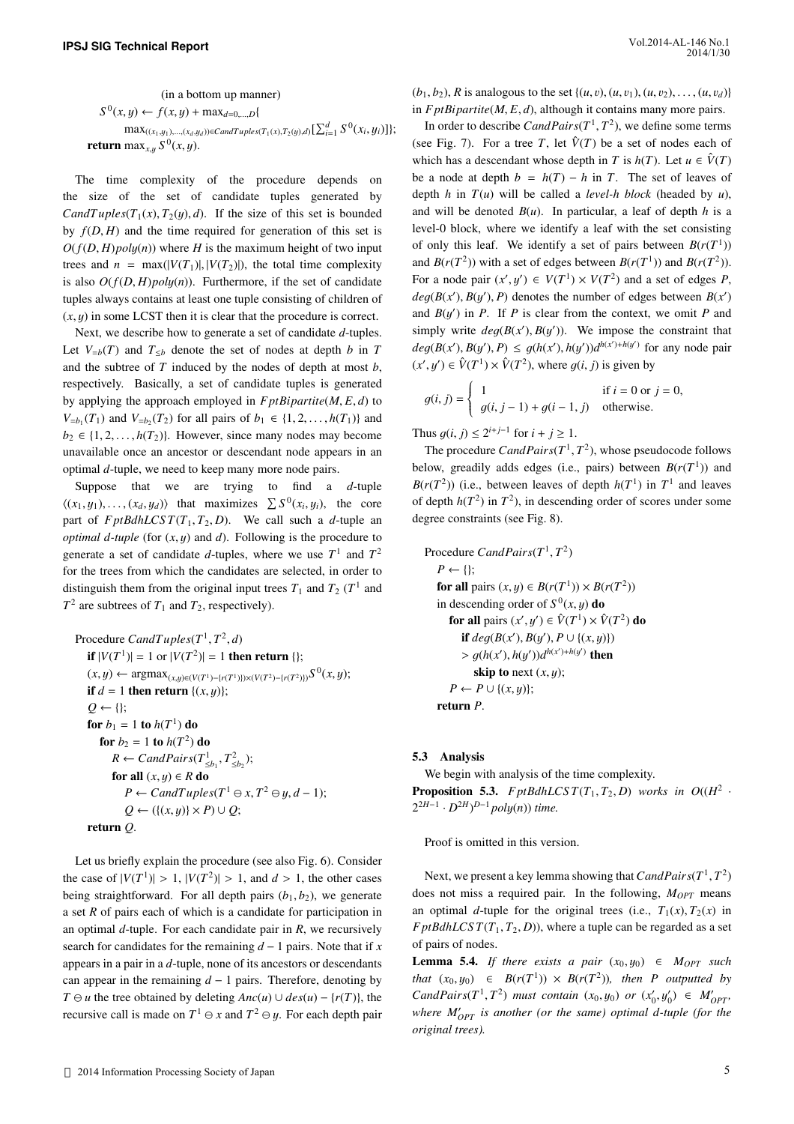(in a bottom up manner)  $S^0(x, y) \leftarrow f(x, y) + \max_{d=0,...,D} \{$  $\max_{((x_1,y_1),...,(x_d,y_d))\in CandTuples(T_1(x),T_2(y),d)}[\sum_{i=1}^d S^0(x_i,y_i)]\};$ return max<sub>*x*,y</sub>  $S^0(x, y)$ .

The time complexity of the procedure depends on the size of the set of candidate tuples generated by *CandTuples*( $T_1(x)$ ,  $T_2(y)$ , *d*). If the size of this set is bounded by  $f(D, H)$  and the time required for generation of this set is  $O(f(D, H)poly(n))$  where *H* is the maximum height of two input trees and  $n = max(|V(T_1)|, |V(T_2)|)$ , the total time complexity is also  $O(f(D, H)poly(n))$ . Furthermore, if the set of candidate tuples always contains at least one tuple consisting of children of  $(x, y)$  in some LCST then it is clear that the procedure is correct.

Next, we describe how to generate a set of candidate *d*-tuples. Let  $V_{=b}(T)$  and  $T_{\leq b}$  denote the set of nodes at depth *b* in *T* and the subtree of *T* induced by the nodes of depth at most *b*, respectively. Basically, a set of candidate tuples is generated by applying the approach employed in  $FptBipartite(M, E, d)$  to *V*=*b*<sub>1</sub></sub>(*T*<sub>1</sub>) and *V*=*b*<sub>2</sub>(*T*<sub>2</sub>) for all pairs of *b*<sub>1</sub> ∈ {1, 2, . . . , *h*(*T*<sub>1</sub>)} and  $b_2 \in \{1, 2, \ldots, h(T_2)\}\$ . However, since many nodes may become unavailable once an ancestor or descendant node appears in an optimal *d*-tuple, we need to keep many more node pairs.

Suppose that we are trying to find a *d*-tuple  $\langle (x_1, y_1), \ldots, (x_d, y_d) \rangle$  that maximizes  $\sum S^0(x_i, y_i)$ , the core part of  $FptBdhLCS T(T_1, T_2, D)$ . We call such a *d*-tuple an *optimal d-tuple* (for (*x*, y) and *d*). Following is the procedure to generate a set of candidate *d*-tuples, where we use  $T^1$  and  $T^2$ for the trees from which the candidates are selected, in order to distinguish them from the original input trees  $T_1$  and  $T_2$  ( $T<sup>1</sup>$  and  $T^2$  are subtrees of  $T_1$  and  $T_2$ , respectively).

Procedure  $CandTuples(T^1, T^2, d)$ **if**  $|V(T^1)| = 1$  or  $|V(T^2)| = 1$  **then return** {};  $(x, y)$  ← argmax<sub> $(x,y) \in (V(T^1) - {r(T^1)})) \times (V(T^2) - {r(T^2)})} S^0(x, y);$ </sub> if  $d = 1$  then return  $\{(x, y)\};$  $Q \leftarrow \{\};$ for  $b_1 = 1$  to  $h(T^1)$  do **for**  $b_2 = 1$  **to**  $h(T^2)$  **do**  $R \leftarrow \text{C} \text{and} \text{Pairs}(T^1_{\leq b_1}, T^2_{\leq b_2});$ for all  $(x, y) \in R$  do  $P \leftarrow \text{CandTuples}(T^1 \ominus x, T^2 \ominus y, d-1);$  $Q \leftarrow (\{(x, y) \} \times P) \cup Q;$ return *Q*.

Let us briefly explain the procedure (see also Fig. 6). Consider the case of  $|V(T^1)| > 1$ ,  $|V(T^2)| > 1$ , and  $d > 1$ , the other cases being straightforward. For all depth pairs  $(b_1, b_2)$ , we generate a set *R* of pairs each of which is a candidate for participation in an optimal *d*-tuple. For each candidate pair in *R*, we recursively search for candidates for the remaining *d* − 1 pairs. Note that if *x* appears in a pair in a *d*-tuple, none of its ancestors or descendants can appear in the remaining *d* − 1 pairs. Therefore, denoting by *T* ⊖ *u* the tree obtained by deleting  $Anc(u) ∪ des(u) - {r(T)}$ , the recursive call is made on  $T^1 \ominus x$  and  $T^2 \ominus y$ . For each depth pair

 $(b_1, b_2)$ , *R* is analogous to the set  $\{(u, v), (u, v_1), (u, v_2), \dots, (u, v_d)\}$ in  $FptBipartite(M, E, d)$ , although it contains many more pairs.

In order to describe  $CandPairs(T^1, T^2)$ , we define some terms (see Fig. 7). For a tree *T*, let  $\hat{V}(T)$  be a set of nodes each of which has a descendant whose depth in *T* is  $h(T)$ . Let  $u \in \hat{V}(T)$ be a node at depth  $b = h(T) - h$  in *T*. The set of leaves of depth *h* in  $T(u)$  will be called a *level-h block* (headed by *u*), and will be denoted  $B(u)$ . In particular, a leaf of depth *h* is a level-0 block, where we identify a leaf with the set consisting of only this leaf. We identify a set of pairs between  $B(r(T<sup>1</sup>))$ and *B*( $r(T^2)$ ) with a set of edges between *B*( $r(T^1)$ ) and *B*( $r(T^2)$ ). For a node pair  $(x', y') \in V(T^1) \times V(T^2)$  and a set of edges *P*,  $deg(B(x'), B(y'), P)$  denotes the number of edges between  $B(x')$ and  $B(y')$  in *P*. If *P* is clear from the context, we omit *P* and simply write  $deg(B(x'), B(y'))$ . We impose the constraint that  $deg(B(x'), B(y'), P) \leq g(h(x'), h(y'))d^{h(x')+h(y')}$  for any node pair  $(x', y') \in \hat{V}(T^1) \times \hat{V}(T^2)$ , where  $g(i, j)$  is given by

$$
g(i, j) = \begin{cases} 1 & \text{if } i = 0 \text{ or } j = 0, \\ g(i, j - 1) + g(i - 1, j) & \text{otherwise.} \end{cases}
$$

Thus *g*(*i*, *j*) ≤  $2^{i+j-1}$  for *i* + *j* ≥ 1.

The procedure  $CandPairs(T^1, T^2)$ , whose pseudocode follows below, greadily adds edges (i.e., pairs) between  $B(r(T^1))$  and  $B(r(T^2))$  (i.e., between leaves of depth  $h(T^1)$  in  $T^1$  and leaves of depth  $h(T^2)$  in  $T^2$ ), in descending order of scores under some degree constraints (see Fig. 8).

Proceedure *CandPairs*(*T*<sup>1</sup>, *T*<sup>2</sup>)  
\n*P* ← {}};  
\n**for all** pairs (*x*, *y*) ∈ *B*(*r*(*T*<sup>1</sup>)) × *B*(*r*(*T*<sup>2</sup>))  
\nin descending order of 
$$
S^0(x, y)
$$
 **do**  
\n**for all** pairs (*x'*, *y'*) ∈  $\hat{V}(T^1) × \hat{V}(T^2)$  **do**  
\n**if** *deg*(*B*(*x'*), *B*(*y'*), *P* ∪ {(*x*, *y*)}  
\n> > *g*(*h*(*x'*), *h*(*y'*))*d*<sup>*h*(*x'*)+*h*(*y'*)  
\n**then**  
\n**skip to** next (*x*, *y*);  
\n*P* ← *P* ∪ {(*x*, *y*)};  
\n**return** *P*.</sup>

#### 5.3 Analysis

We begin with analysis of the time complexity. **Proposition 5.3.** *F* ptBdhLCS  $T(T_1, T_2, D)$  works in  $O((H^2 \cdot$  $2^{2H-1} \cdot D^{2H}P^{-1}poly(n))$  *time.* 

Proof is omitted in this version.

Next, we present a key lemma showing that *CandPairs*(*T* 1 , *T* 2 ) does not miss a required pair. In the following, *MOPT* means an optimal *d*-tuple for the original trees (i.e.,  $T_1(x)$ ,  $T_2(x)$  in *F* ptBdhLCS  $T(T_1, T_2, D)$ , where a tuple can be regarded as a set of pairs of nodes.

**Lemma 5.4.** *If there exists a pair*  $(x_0, y_0) \in M_{OPT}$  *such that*  $(x_0, y_0) \in B(r(T^1)) \times B(r(T^2))$ *, then P outputted by*  $Cand Pairs(T^1, T^2)$  *must contain*  $(x_0, y_0)$  *or*  $(x'_0, y'_0) \in M'_{OPT}$ , *where M*′ *OPT is another (or the same) optimal d-tuple (for the original trees).*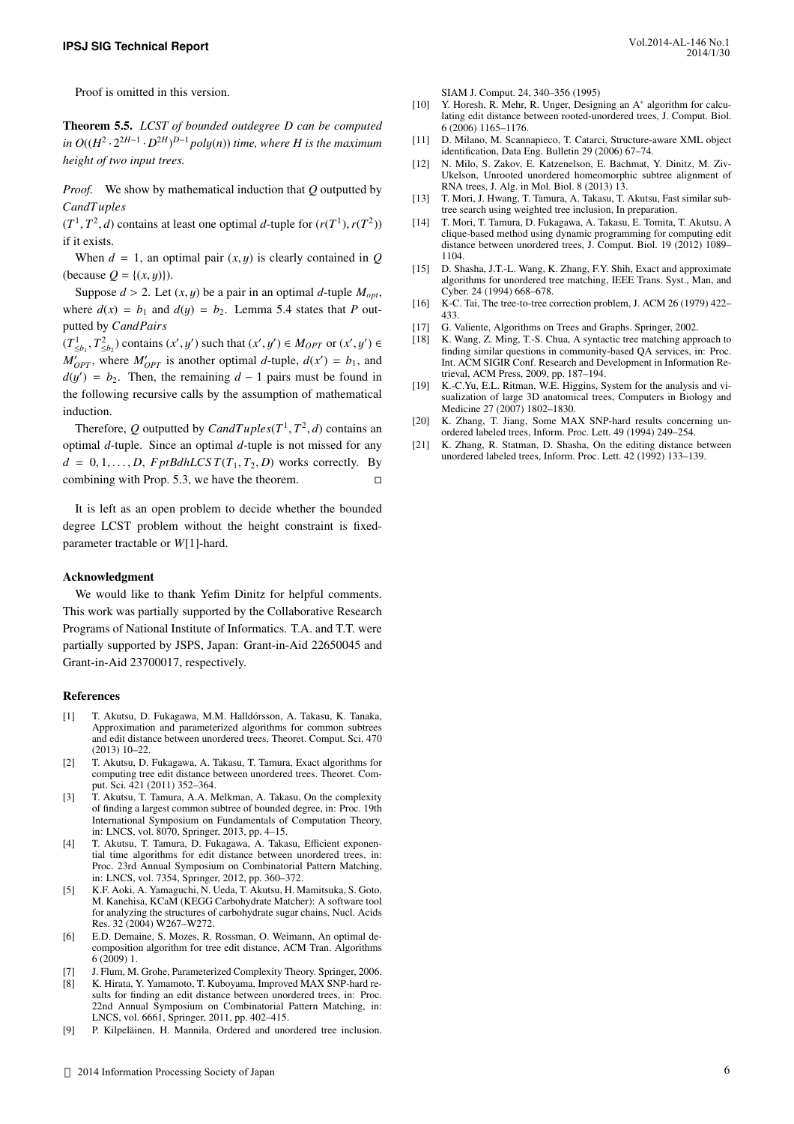Theorem 5.5. *LCST of bounded outdegree D can be computed*  $\int$ *in*  $O((H^2 \cdot 2^{2H-1} \cdot D^{2H})^{D-1}$  *poly(n)) time, where H is the maximum height of two input trees.*

*Proof.* We show by mathematical induction that *Q* outputted by *CandT uples*

 $(T^1, T^2, d)$  contains at least one optimal *d*-tuple for  $(r(T^1), r(T^2))$ if it exists.

When  $d = 1$ , an optimal pair  $(x, y)$  is clearly contained in *Q* (because  $Q = \{(x, y)\}\)$ .

Suppose  $d > 2$ . Let  $(x, y)$  be a pair in an optimal *d*-tuple  $M_{opt}$ , where  $d(x) = b_1$  and  $d(y) = b_2$ . Lemma 5.4 states that *P* outputted by *CandPairs*

 $(T^1_{\leq b_1}, T^2_{\leq b_2})$  contains  $(x', y')$  such that  $(x', y') ∈ M_{OPT}$  or  $(x', y') ∈ M_{OPT}$  $M'_{OPT}$ , where  $M'_{OPT}$  is another optimal *d*-tuple,  $d(x') = b_1$ , and  $d(y') = b_2$ . Then, the remaining  $d - 1$  pairs must be found in the following recursive calls by the assumption of mathematical induction.

Therefore, Q outputted by  $CandTuples(T^1, T^2, d)$  contains an optimal *d*-tuple. Since an optimal *d*-tuple is not missed for any  $d = 0, 1, \ldots, D$ , *F ptBdhLCST*(*T*<sub>1</sub>, *T*<sub>2</sub>, *D*) works correctly. By combining with Prop. 5.3, we have the theorem.  $\Box$ 

It is left as an open problem to decide whether the bounded degree LCST problem without the height constraint is fixedparameter tractable or *W*[1]-hard.

#### Acknowledgment

We would like to thank Yefim Dinitz for helpful comments. This work was partially supported by the Collaborative Research Programs of National Institute of Informatics. T.A. and T.T. were partially supported by JSPS, Japan: Grant-in-Aid 22650045 and Grant-in-Aid 23700017, respectively.

#### References

- [1] T. Akutsu, D. Fukagawa, M.M. Halldórsson, A. Takasu, K. Tanaka, Approximation and parameterized algorithms for common subtrees and edit distance between unordered trees, Theoret. Comput. Sci. 470 (2013) 10–22.
- [2] T. Akutsu, D. Fukagawa, A. Takasu, T. Tamura, Exact algorithms for computing tree edit distance between unordered trees. Theoret. Comput. Sci. 421 (2011) 352–364.
- [3] T. Akutsu, T. Tamura, A.A. Melkman, A. Takasu, On the complexity of finding a largest common subtree of bounded degree, in: Proc. 19th International Symposium on Fundamentals of Computation Theory, in: LNCS, vol. 8070, Springer, 2013, pp. 4–15.
- [4] T. Akutsu, T. Tamura, D. Fukagawa, A. Takasu, Efficient exponential time algorithms for edit distance between unordered trees, in: Proc. 23rd Annual Symposium on Combinatorial Pattern Matching, in: LNCS, vol. 7354, Springer, 2012, pp. 360–372.
- [5] K.F. Aoki, A. Yamaguchi, N. Ueda, T. Akutsu, H. Mamitsuka, S. Goto, M. Kanehisa, KCaM (KEGG Carbohydrate Matcher): A software tool for analyzing the structures of carbohydrate sugar chains, Nucl. Acids Res. 32 (2004) W267–W272.
- [6] E.D. Demaine, S. Mozes, R. Rossman, O. Weimann, An optimal decomposition algorithm for tree edit distance, ACM Tran. Algorithms 6 (2009) 1.
- [7] J. Flum, M. Grohe, Parameterized Complexity Theory. Springer, 2006.
- [8] K. Hirata, Y. Yamamoto, T. Kuboyama, Improved MAX SNP-hard results for finding an edit distance between unordered trees, in: Proc. 22nd Annual Symposium on Combinatorial Pattern Matching, in: LNCS, vol. 6661, Springer, 2011, pp. 402–415.
- [9] P. Kilpeläinen, H. Mannila, Ordered and unordered tree inclusion.

SIAM J. Comput. 24, 340–356 (1995)

- [10] Y. Horesh, R. Mehr, R. Unger, Designing an A<sup>\*</sup> algorithm for calculating edit distance between rooted-unordered trees, J. Comput. Biol. 6 (2006) 1165–1176.
- [11] D. Milano, M. Scannapieco, T. Catarci, Structure-aware XML object identification, Data Eng. Bulletin 29 (2006) 67–74.
- [12] N. Milo, S. Zakov, E. Katzenelson, E. Bachmat, Y. Dinitz, M. Ziv-Ukelson, Unrooted unordered homeomorphic subtree alignment of RNA trees, J. Alg. in Mol. Biol. 8 (2013) 13.
- [13] T. Mori, J. Hwang, T. Tamura, A. Takasu, T. Akutsu, Fast similar subtree search using weighted tree inclusion, In preparation.
- [14] T. Mori, T. Tamura, D. Fukagawa, A. Takasu, E. Tomita, T. Akutsu, A clique-based method using dynamic programming for computing edit distance between unordered trees, J. Comput. Biol. 19 (2012) 1089– 1104.
- [15] D. Shasha, J.T.-L. Wang, K. Zhang, F.Y. Shih, Exact and approximate algorithms for unordered tree matching, IEEE Trans. Syst., Man, and Cyber. 24 (1994) 668–678.
- [16] K-C. Tai, The tree-to-tree correction problem, J. ACM 26 (1979) 422– 433.
- [17] G. Valiente, Algorithms on Trees and Graphs. Springer, 2002.
- [18] K. Wang, Z. Ming, T.-S. Chua, A syntactic tree matching approach to finding similar questions in community-based QA services, in: Proc. Int. ACM SIGIR Conf. Research and Development in Information Retrieval, ACM Press, 2009, pp. 187–194.
- [19] K.-C.Yu, E.L. Ritman, W.E. Higgins, System for the analysis and visualization of large 3D anatomical trees, Computers in Biology and Medicine 27 (2007) 1802–1830.
- [20] K. Zhang, T. Jiang, Some MAX SNP-hard results concerning unordered labeled trees, Inform. Proc. Lett. 49 (1994) 249–254.
- [21] K. Zhang, R. Statman, D. Shasha, On the editing distance between unordered labeled trees, Inform. Proc. Lett. 42 (1992) 133–139.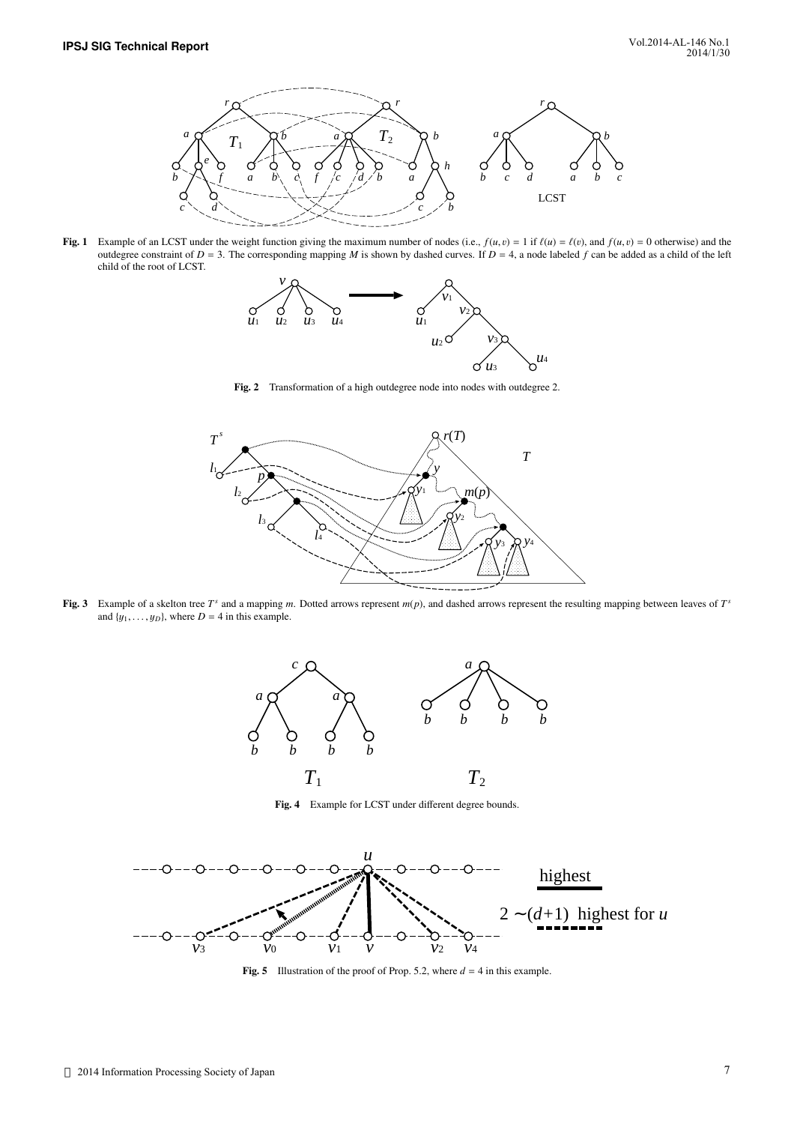

Fig. 1 Example of an LCST under the weight function giving the maximum number of nodes (i.e.,  $f(u, v) = 1$  if  $f(u) = f(v)$ , and  $f(u, v) = 0$  otherwise) and the outdegree constraint of  $D = 3$ . The corresponding mapping *M* is shown by dashed curves. If  $D = 4$ , a node labeled *f* can be added as a child of the left child of the root of LCST.



Fig. 2 Transformation of a high outdegree node into nodes with outdegree 2.



Fig. 3 Example of a skelton tree  $T^s$  and a mapping  $m$ . Dotted arrows represent  $m(p)$ , and dashed arrows represent the resulting mapping between leaves of  $T^s$ and  $\{y_1, \ldots, y_D\}$ , where  $D = 4$  in this example.



Fig. 4 Example for LCST under different degree bounds.



**Fig. 5** Illustration of the proof of Prop. 5.2, where  $d = 4$  in this example.